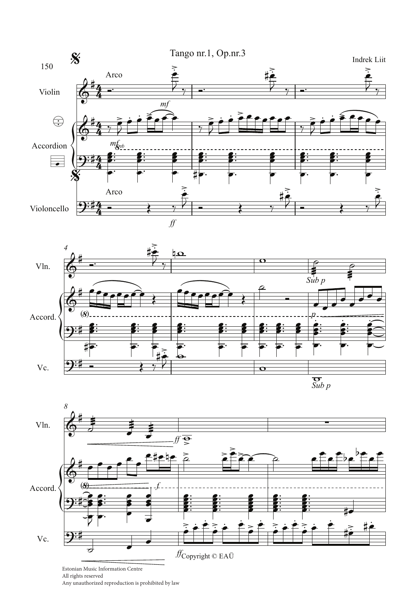





All rights reserved

Any unauthorized reproduction is prohibited by law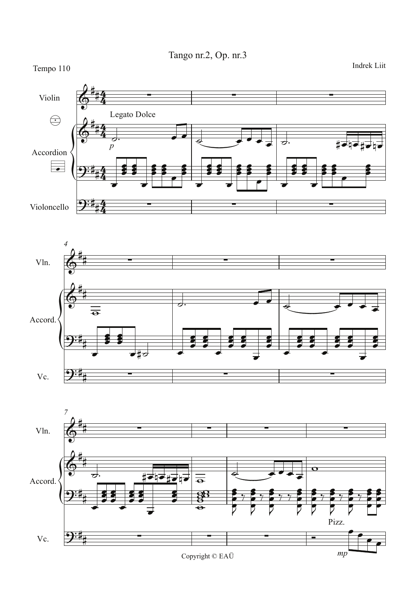Tango nr.2, Op. nr.3

Indrek Liit



Pizz. ) : 1. Vc.  $mp$ 

Copyright  $\mathbb O$  EAÜ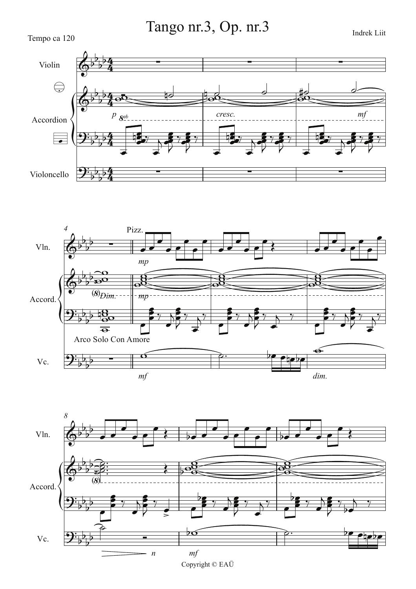Tango nr.3, Op. nr.3







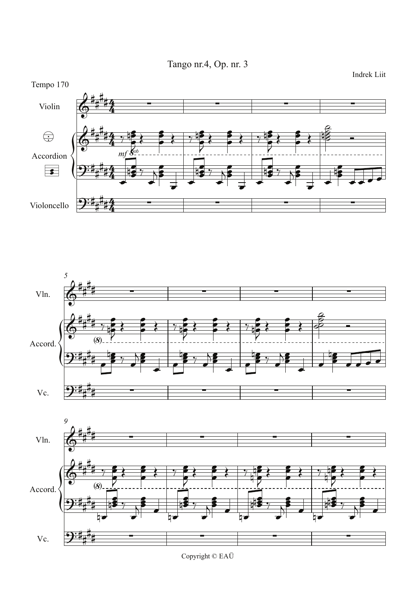Tango nr.4, Op. nr. 3

Tempo 170 Violin  $\bigoplus$ Accordion  $\overline{\mathbf{E}}$ Violoncello





Copyright  $\odot$  EAÜ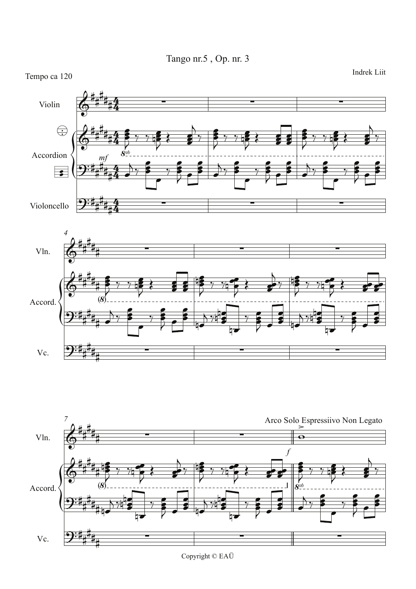





Copyright © EAÜ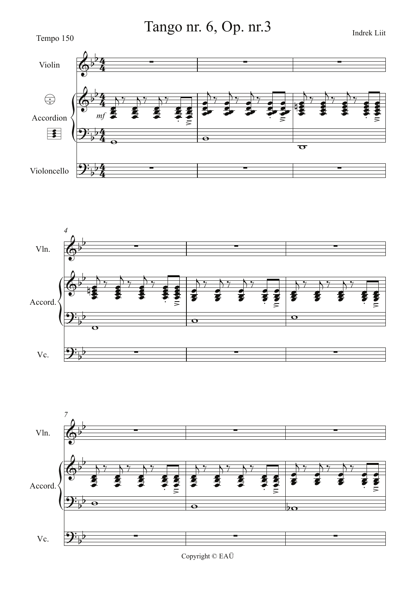Tango nr. 6, Op. nr.3





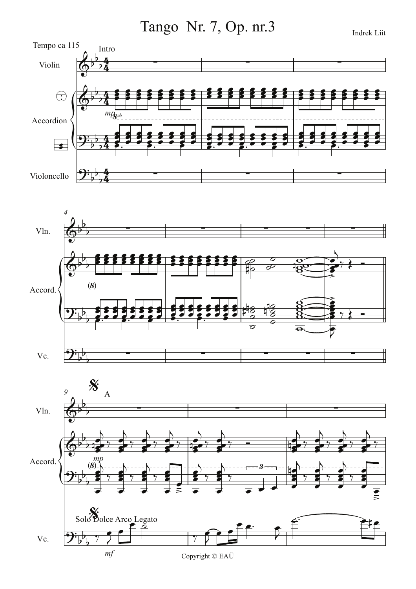Tango Nr. 7, Op. nr.3

Tempo ca 115 Intro Violin  $\bigoplus$  $mp_{\mathbf{S}^{vb}}$ Accordion  $\overline{\bullet}$ Violoncello



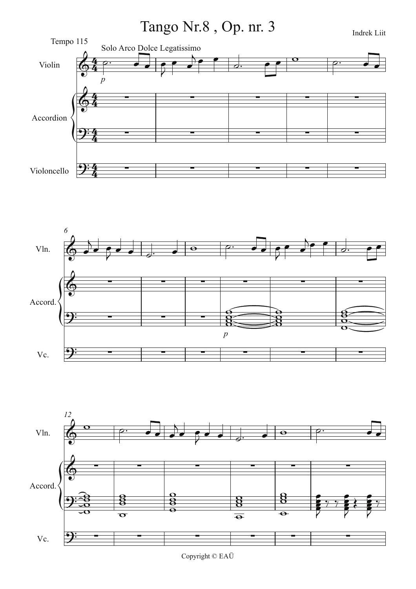





Copyright © EAÜ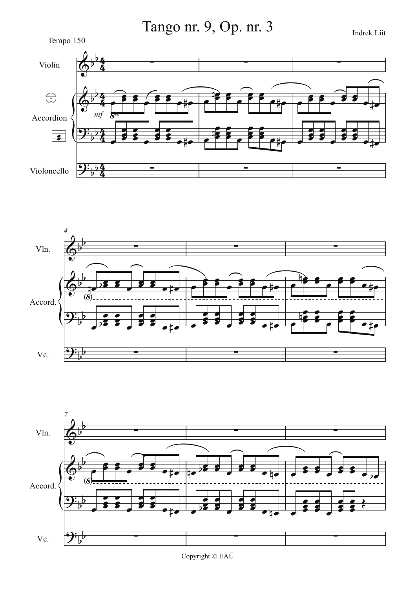Tango nr. 9, Op. nr. 3







Copyright  $\mathbb O$  EAÜ